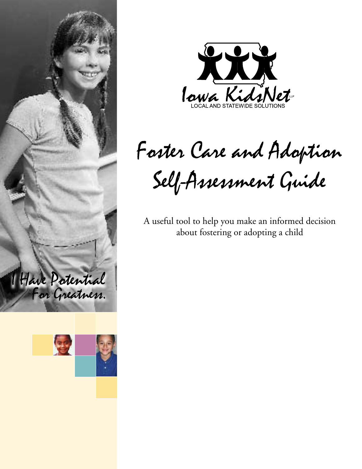





Foster Care and Adoption Self-Assessment Guide

A useful tool to help you make an informed decision about fostering or adopting a child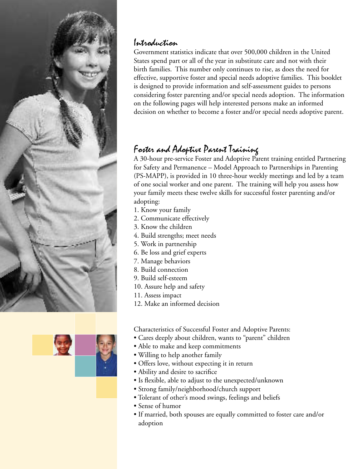



## Introduction

Government statistics indicate that over 500,000 children in the United States spend part or all of the year in substitute care and not with their birth families. This number only continues to rise, as does the need for effective, supportive foster and special needs adoptive families. This booklet is designed to provide information and self-assessment guides to persons considering foster parenting and/or special needs adoption. The information on the following pages will help interested persons make an informed decision on whether to become a foster and/or special needs adoptive parent.

## Foster and Adoptive Parent Training

A 30-hour pre-service Foster and Adoptive Parent training entitled Partnering for Safety and Permanence – Model Approach to Partnerships in Parenting (PS-MAPP), is provided in 10 three-hour weekly meetings and led by a team of one social worker and one parent. The training will help you assess how your family meets these twelve skills for successful foster parenting and/or adopting:

- 1. Know your family
- 2. Communicate effectively
- 3. Know the children
- 4. Build strengths; meet needs
- 5. Work in partnership
- 6. Be loss and grief experts
- 7. Manage behaviors
- 8. Build connection
- 9. Build self-esteem
- 10. Assure help and safety
- 11. Assess impact
- 12. Make an informed decision

Characteristics of Successful Foster and Adoptive Parents:

- Cares deeply about children, wants to "parent" children
- Able to make and keep commitments
- Willing to help another family
- Offers love, without expecting it in return
- Ability and desire to sacrifice
- Is flexible, able to adjust to the unexpected/unknown
- Strong family/neighborhood/church support
- Tolerant of other's mood swings, feelings and beliefs
- Sense of humor
- If married, both spouses are equally committed to foster care and/or adoption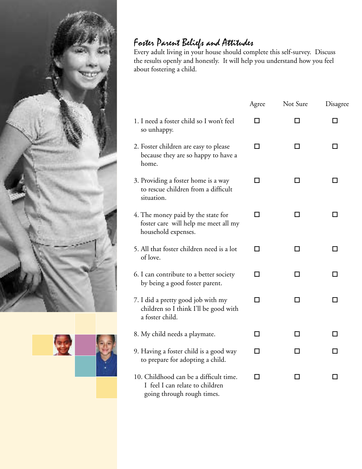



# Foster Parent Beliefs and Attitudes

Every adult living in your house should complete this self-survey. Discuss the results openly and honestly. It will help you understand how you feel about fostering a child.

|                                                                                                         | Agree | Not Sure | Disagree |
|---------------------------------------------------------------------------------------------------------|-------|----------|----------|
| 1. I need a foster child so I won't feel<br>so unhappy.                                                 | ΙI    | ΙI       | ΙI       |
| 2. Foster children are easy to please<br>because they are so happy to have a<br>home.                   | ΙI    |          |          |
| 3. Providing a foster home is a way<br>to rescue children from a difficult<br>situation.                | ΙI    | ΙI       |          |
| 4. The money paid by the state for<br>foster care will help me meet all my<br>household expenses.       | ΙI    | ΙI       |          |
| 5. All that foster children need is a lot<br>of love.                                                   | П     | П        | П        |
| 6. I can contribute to a better society<br>by being a good foster parent.                               | ΙI    |          |          |
| 7. I did a pretty good job with my<br>children so I think I'll be good with<br>a foster child.          | П     | П        |          |
| 8. My child needs a playmate.                                                                           | П     | П        | П        |
| 9. Having a foster child is a good way<br>to prepare for adopting a child.                              | ΙI    | H        |          |
| 10. Childhood can be a difficult time.<br>I feel I can relate to children<br>going through rough times. | П     | ΙI       | ΙI       |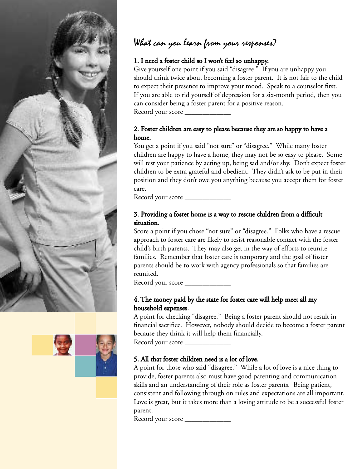



## What can you learn from your responses?

#### 1. I need a foster child so I won't feel so unhappy.

Give yourself one point if you said "disagree." If you are unhappy you should think twice about becoming a foster parent. It is not fair to the child to expect their presence to improve your mood. Speak to a counselor first. If you are able to rid yourself of depression for a six-month period, then you can consider being a foster parent for a positive reason. Record your score \_\_\_\_\_\_\_\_\_\_\_\_\_

#### 2. Foster children are easy to please because they are so happy to have a home.

You get a point if you said "not sure" or "disagree." While many foster children are happy to have a home, they may not be so easy to please. Some will test your patience by acting up, being sad and/or shy. Don't expect foster children to be extra grateful and obedient. They didn't ask to be put in their position and they don't owe you anything because you accept them for foster care.

Record your score \_\_\_\_\_\_\_\_\_\_\_\_\_

#### 3. Providing a foster home is a way to rescue children from a difficult situation.

Score a point if you chose "not sure" or "disagree." Folks who have a rescue approach to foster care are likely to resist reasonable contact with the foster child's birth parents. They may also get in the way of efforts to reunite families. Remember that foster care is temporary and the goal of foster parents should be to work with agency professionals so that families are reunited.

Record your score \_\_\_\_\_\_\_\_\_\_\_\_\_\_\_

#### 4. The money paid by the state for foster care will help meet all my household expenses.

A point for checking "disagree." Being a foster parent should not result in financial sacrifice. However, nobody should decide to become a foster parent because they think it will help them financially.

Record your score \_\_\_\_\_\_\_\_\_\_\_\_\_

#### 5. All that foster children need is a lot of love.

A point for those who said "disagree." While a lot of love is a nice thing to provide, foster parents also must have good parenting and communication skills and an understanding of their role as foster parents. Being patient, consistent and following through on rules and expectations are all important. Love is great, but it takes more than a loving attitude to be a successful foster parent.

Record your score \_\_\_\_\_\_\_\_\_\_\_\_\_\_\_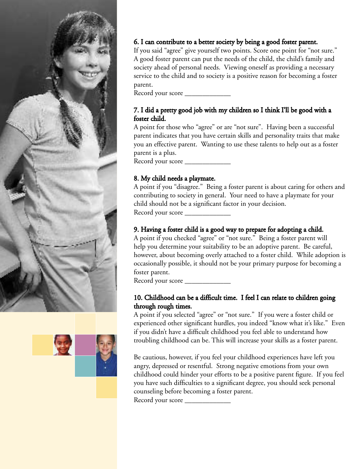



### 6. I can contribute to a better society by being a good foster parent.

If you said "agree" give yourself two points. Score one point for "not sure." A good foster parent can put the needs of the child, the child's family and society ahead of personal needs. Viewing oneself as providing a necessary service to the child and to society is a positive reason for becoming a foster parent.

Record your score \_\_\_\_\_\_\_\_\_\_\_\_\_

#### 7. I did a pretty good job with my children so I think I'll be good with a foster child.

A point for those who "agree" or are "not sure". Having been a successful parent indicates that you have certain skills and personality traits that make you an effective parent. Wanting to use these talents to help out as a foster parent is a plus.

Record your score \_\_\_\_\_\_\_\_\_\_\_\_\_\_\_

### 8. My child needs a playmate.

A point if you "disagree." Being a foster parent is about caring for others and contributing to society in general. Your need to have a playmate for your child should not be a significant factor in your decision. Record your score \_\_\_\_\_\_\_\_\_\_\_\_\_

### 9. Having a foster child is a good way to prepare for adopting a child.

A point if you checked "agree" or "not sure." Being a foster parent will help you determine your suitability to be an adoptive parent. Be careful, however, about becoming overly attached to a foster child. While adoption is occasionally possible, it should not be your primary purpose for becoming a foster parent.

Record your score \_\_\_\_\_\_\_\_\_\_\_\_\_

#### 10. Childhood can be a difficult time. I feel I can relate to children going through rough times.

A point if you selected "agree" or "not sure." If you were a foster child or experienced other significant hurdles, you indeed "know what it's like." Even if you didn't have a difficult childhood you feel able to understand how troubling childhood can be. This will increase your skills as a foster parent.

Be cautious, however, if you feel your childhood experiences have left you angry, depressed or resentful. Strong negative emotions from your own childhood could hinder your efforts to be a positive parent figure. If you feel you have such difficulties to a significant degree, you should seek personal counseling before becoming a foster parent.

Record your score \_\_\_\_\_\_\_\_\_\_\_\_\_\_\_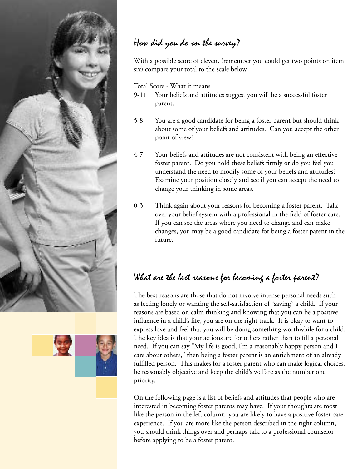

## How did you do on the survey?

With a possible score of eleven, (remember you could get two points on item six) compare your total to the scale below.

Total Score - What it means

- 9-11 Your beliefs and attitudes suggest you will be a successful foster parent.
- 5-8 You are a good candidate for being a foster parent but should think about some of your beliefs and attitudes. Can you accept the other point of view?
- 4-7 Your beliefs and attitudes are not consistent with being an effective foster parent. Do you hold these beliefs firmly or do you feel you understand the need to modify some of your beliefs and attitudes? Examine your position closely and see if you can accept the need to change your thinking in some areas.
- 0-3 Think again about your reasons for becoming a foster parent. Talk over your belief system with a professional in the field of foster care. If you can see the areas where you need to change and can make changes, you may be a good candidate for being a foster parent in the future.

## What are the best reasons for becoming a foster parent?

The best reasons are those that do not involve intense personal needs such as feeling lonely or wanting the self-satisfaction of "saving" a child. If your reasons are based on calm thinking and knowing that you can be a positive influence in a child's life, you are on the right track. It is okay to want to express love and feel that you will be doing something worthwhile for a child. The key idea is that your actions are for others rather than to fill a personal need. If you can say "My life is good, I'm a reasonably happy person and I care about others," then being a foster parent is an enrichment of an already fulfilled person. This makes for a foster parent who can make logical choices, be reasonably objective and keep the child's welfare as the number one priority.

On the following page is a list of beliefs and attitudes that people who are interested in becoming foster parents may have. If your thoughts are most like the person in the left column, you are likely to have a positive foster care experience. If you are more like the person described in the right column, you should think things over and perhaps talk to a professional counselor before applying to be a foster parent.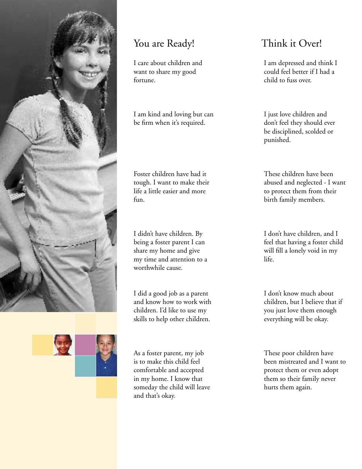

## You are Ready! Think it Over!

I care about children and want to share my good fortune.

I am kind and loving but can be firm when it's required.

Foster children have had it tough. I want to make their life a little easier and more fun.

I didn't have children. By being a foster parent I can share my home and give my time and attention to a worthwhile cause.

I did a good job as a parent and know how to work with children. I'd like to use my skills to help other children.

As a foster parent, my job is to make this child feel comfortable and accepted in my home. I know that someday the child will leave and that's okay.

I am depressed and think I could feel better if I had a child to fuss over.

I just love children and don't feel they should ever be disciplined, scolded or punished.

These children have been abused and neglected - I want to protect them from their birth family members.

I don't have children, and I feel that having a foster child will fill a lonely void in my life.

I don't know much about children, but I believe that if you just love them enough everything will be okay.

These poor children have been mistreated and I want to protect them or even adopt them so their family never hurts them again.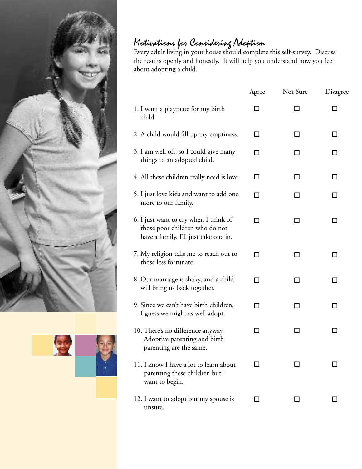



## Motivations for Considering Adoption

Every adult living in your house should complete this self-survey. Discuss the results openly and honestly. It will help you understand how you feel about adopting a child.

|                                                                                                                  | Agree          | Not Sure | Disagree |
|------------------------------------------------------------------------------------------------------------------|----------------|----------|----------|
| 1. I want a playmate for my birth<br>child.                                                                      | - 1            | ΙI       | i.       |
| 2. A child would fill up my emptiness.                                                                           | LΙ             | ΙI       | ΙI       |
| 3. I am well off, so I could give many<br>things to an adopted child.                                            | ΙI             |          |          |
| 4. All these children really need is love.                                                                       | П              | ΙI       | П        |
| 5. I just love kids and want to add one<br>more to our family.                                                   | П              | l l      | l I      |
| 6. I just want to cry when I think of<br>those poor children who do not<br>have a family. I'll just take one in. | LΙ             | l I      | i.       |
| 7. My religion tells me to reach out to<br>those less fortunate.                                                 | П              | ΙI       | H        |
| 8. Our marriage is shaky, and a child<br>will bring us back together.                                            | П              | ΙI       | l I      |
| 9. Since we can't have birth children,<br>I guess we might as well adopt.                                        | $\blacksquare$ | ΙI       | i.       |
| 10. There's no difference anyway.<br>Adoptive parenting and birth<br>parenting are the same.                     | LΙ             |          | l I      |
| 11. I know I have a lot to learn about<br>parenting these children but I<br>want to begin.                       | LΙ             |          |          |
| 12. I want to adopt but my spouse is<br>unsure.                                                                  | LΙ             | l 1      |          |